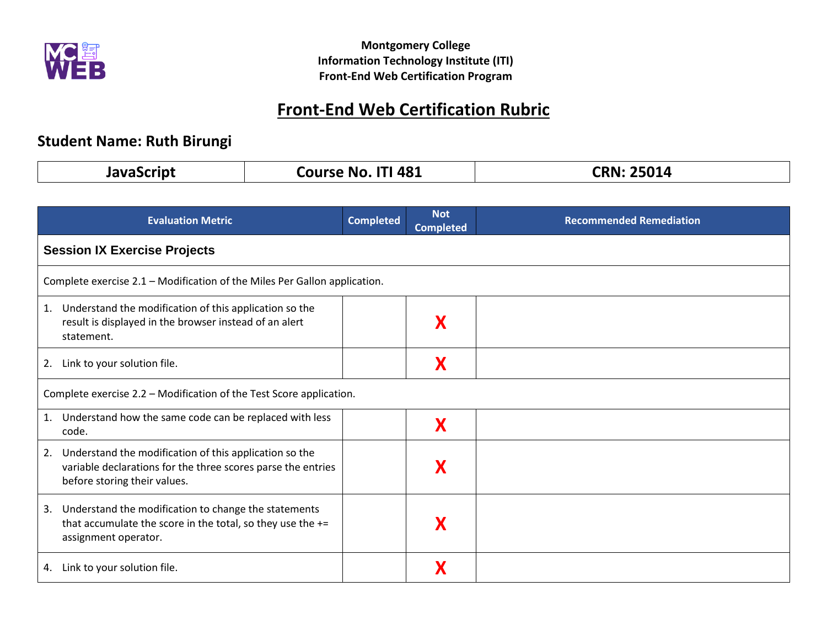

# **Front-End Web Certification Rubric**

## **Student Name: Ruth Birungi**

| $\rightarrow$ $\rightarrow$ $\sim$ $\sim$ | No. ITI 481 | 25014            |
|-------------------------------------------|-------------|------------------|
| .                                         | Course      | $\mathsf{PRN}$ . |
|                                           |             |                  |

|                            | <b>Evaluation Metric</b>                                                                                                                               | <b>Completed</b> | <b>Not</b><br><b>Completed</b> | <b>Recommended Remediation</b> |
|----------------------------|--------------------------------------------------------------------------------------------------------------------------------------------------------|------------------|--------------------------------|--------------------------------|
|                            | <b>Session IX Exercise Projects</b>                                                                                                                    |                  |                                |                                |
|                            | Complete exercise 2.1 - Modification of the Miles Per Gallon application.                                                                              |                  |                                |                                |
| 1.<br>statement.           | Understand the modification of this application so the<br>result is displayed in the browser instead of an alert                                       |                  |                                |                                |
| 2.                         | Link to your solution file.                                                                                                                            |                  |                                |                                |
|                            | Complete exercise 2.2 – Modification of the Test Score application.                                                                                    |                  |                                |                                |
| 1.<br>code.                | Understand how the same code can be replaced with less                                                                                                 |                  | Χ                              |                                |
| 2.                         | Understand the modification of this application so the<br>variable declarations for the three scores parse the entries<br>before storing their values. |                  |                                |                                |
| 3.<br>assignment operator. | Understand the modification to change the statements<br>that accumulate the score in the total, so they use the $+=$                                   |                  |                                |                                |
| 4.                         | Link to your solution file.                                                                                                                            |                  |                                |                                |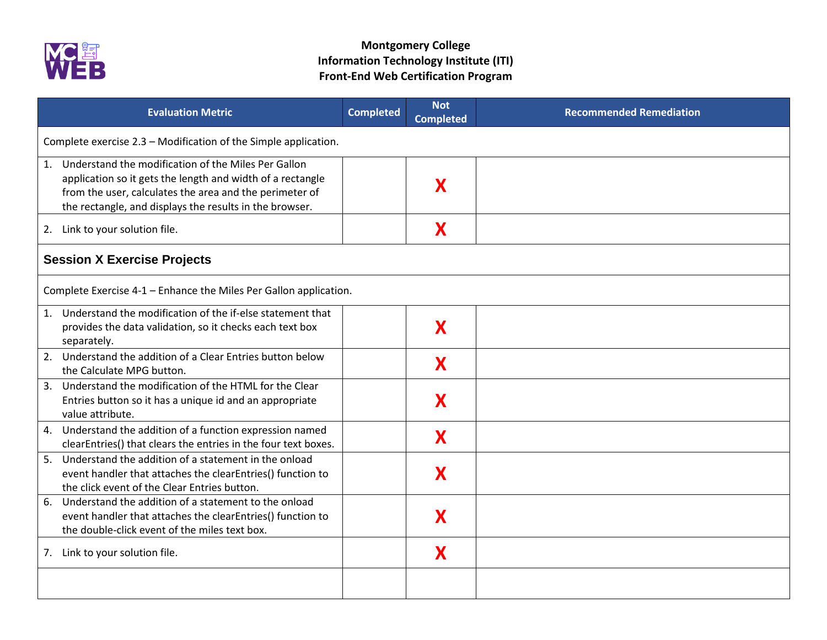

| <b>Evaluation Metric</b>                                                                                                                                                                                                                   | <b>Completed</b> | <b>Not</b><br><b>Completed</b> | <b>Recommended Remediation</b> |  |
|--------------------------------------------------------------------------------------------------------------------------------------------------------------------------------------------------------------------------------------------|------------------|--------------------------------|--------------------------------|--|
| Complete exercise 2.3 - Modification of the Simple application.                                                                                                                                                                            |                  |                                |                                |  |
| 1. Understand the modification of the Miles Per Gallon<br>application so it gets the length and width of a rectangle<br>from the user, calculates the area and the perimeter of<br>the rectangle, and displays the results in the browser. |                  | X                              |                                |  |
| 2. Link to your solution file.                                                                                                                                                                                                             |                  | X                              |                                |  |
| <b>Session X Exercise Projects</b>                                                                                                                                                                                                         |                  |                                |                                |  |
| Complete Exercise 4-1 - Enhance the Miles Per Gallon application.                                                                                                                                                                          |                  |                                |                                |  |
| 1. Understand the modification of the if-else statement that<br>provides the data validation, so it checks each text box<br>separately.                                                                                                    |                  | X                              |                                |  |
| 2. Understand the addition of a Clear Entries button below<br>the Calculate MPG button.                                                                                                                                                    |                  | X                              |                                |  |
| 3. Understand the modification of the HTML for the Clear<br>Entries button so it has a unique id and an appropriate<br>value attribute.                                                                                                    |                  | X                              |                                |  |
| 4. Understand the addition of a function expression named<br>clearEntries() that clears the entries in the four text boxes.                                                                                                                |                  | X                              |                                |  |
| 5. Understand the addition of a statement in the onload<br>event handler that attaches the clearEntries() function to<br>the click event of the Clear Entries button.                                                                      |                  | X                              |                                |  |
| Understand the addition of a statement to the onload<br>6.<br>event handler that attaches the clearEntries() function to<br>the double-click event of the miles text box.                                                                  |                  | X                              |                                |  |
| 7. Link to your solution file.                                                                                                                                                                                                             |                  | X                              |                                |  |
|                                                                                                                                                                                                                                            |                  |                                |                                |  |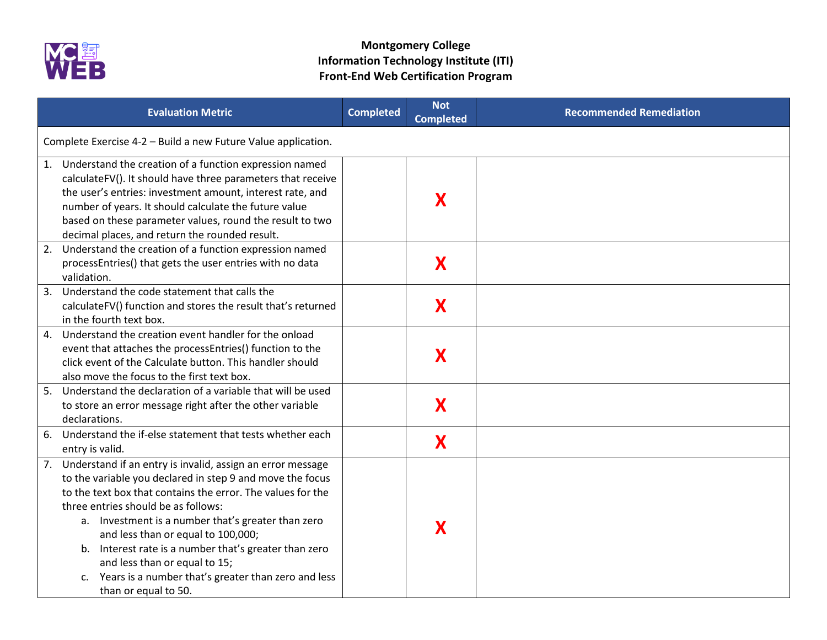

|    | <b>Evaluation Metric</b>                                                                                                                                                                                                                                                                                                                                                                                                                                                                                 | <b>Completed</b> | <b>Not</b><br><b>Completed</b> | <b>Recommended Remediation</b> |  |
|----|----------------------------------------------------------------------------------------------------------------------------------------------------------------------------------------------------------------------------------------------------------------------------------------------------------------------------------------------------------------------------------------------------------------------------------------------------------------------------------------------------------|------------------|--------------------------------|--------------------------------|--|
|    | Complete Exercise 4-2 - Build a new Future Value application.                                                                                                                                                                                                                                                                                                                                                                                                                                            |                  |                                |                                |  |
|    | 1. Understand the creation of a function expression named<br>calculateFV(). It should have three parameters that receive<br>the user's entries: investment amount, interest rate, and<br>number of years. It should calculate the future value<br>based on these parameter values, round the result to two<br>decimal places, and return the rounded result.                                                                                                                                             |                  | X                              |                                |  |
| 2. | Understand the creation of a function expression named<br>processEntries() that gets the user entries with no data<br>validation.                                                                                                                                                                                                                                                                                                                                                                        |                  | X                              |                                |  |
| 3. | Understand the code statement that calls the<br>calculateFV() function and stores the result that's returned<br>in the fourth text box.                                                                                                                                                                                                                                                                                                                                                                  |                  | X                              |                                |  |
| 4. | Understand the creation event handler for the onload<br>event that attaches the processEntries() function to the<br>click event of the Calculate button. This handler should<br>also move the focus to the first text box.                                                                                                                                                                                                                                                                               |                  | X                              |                                |  |
| 5. | Understand the declaration of a variable that will be used<br>to store an error message right after the other variable<br>declarations.                                                                                                                                                                                                                                                                                                                                                                  |                  | X                              |                                |  |
| 6. | Understand the if-else statement that tests whether each<br>entry is valid.                                                                                                                                                                                                                                                                                                                                                                                                                              |                  | X                              |                                |  |
|    | 7. Understand if an entry is invalid, assign an error message<br>to the variable you declared in step 9 and move the focus<br>to the text box that contains the error. The values for the<br>three entries should be as follows:<br>a. Investment is a number that's greater than zero<br>and less than or equal to 100,000;<br>b. Interest rate is a number that's greater than zero<br>and less than or equal to 15;<br>c. Years is a number that's greater than zero and less<br>than or equal to 50. |                  | X                              |                                |  |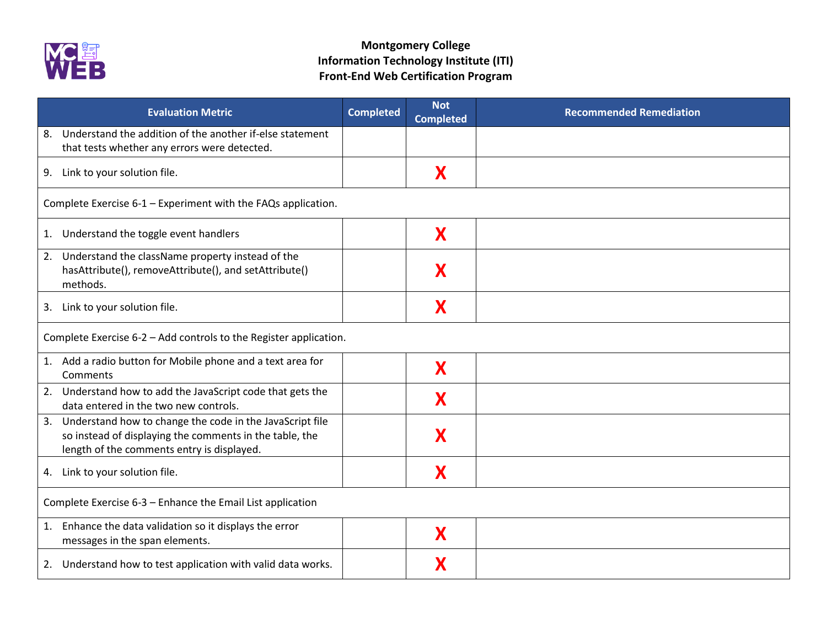

| <b>Evaluation Metric</b>                                                                                                                                             | <b>Completed</b> | <b>Not</b><br><b>Completed</b> | <b>Recommended Remediation</b> |
|----------------------------------------------------------------------------------------------------------------------------------------------------------------------|------------------|--------------------------------|--------------------------------|
| Understand the addition of the another if-else statement<br>8.<br>that tests whether any errors were detected.                                                       |                  |                                |                                |
| 9. Link to your solution file.                                                                                                                                       |                  | X                              |                                |
| Complete Exercise 6-1 - Experiment with the FAQs application.                                                                                                        |                  |                                |                                |
| 1. Understand the toggle event handlers                                                                                                                              |                  | X                              |                                |
| 2. Understand the className property instead of the<br>hasAttribute(), removeAttribute(), and setAttribute()<br>methods.                                             |                  | X                              |                                |
| 3. Link to your solution file.                                                                                                                                       |                  | X                              |                                |
| Complete Exercise 6-2 - Add controls to the Register application.                                                                                                    |                  |                                |                                |
| 1. Add a radio button for Mobile phone and a text area for<br>Comments                                                                                               |                  | X                              |                                |
| 2. Understand how to add the JavaScript code that gets the<br>data entered in the two new controls.                                                                  |                  | X                              |                                |
| 3. Understand how to change the code in the JavaScript file<br>so instead of displaying the comments in the table, the<br>length of the comments entry is displayed. |                  | X                              |                                |
| 4. Link to your solution file.                                                                                                                                       |                  | X                              |                                |
| Complete Exercise 6-3 - Enhance the Email List application                                                                                                           |                  |                                |                                |
| 1. Enhance the data validation so it displays the error<br>messages in the span elements.                                                                            |                  | X                              |                                |
| 2. Understand how to test application with valid data works.                                                                                                         |                  | Х                              |                                |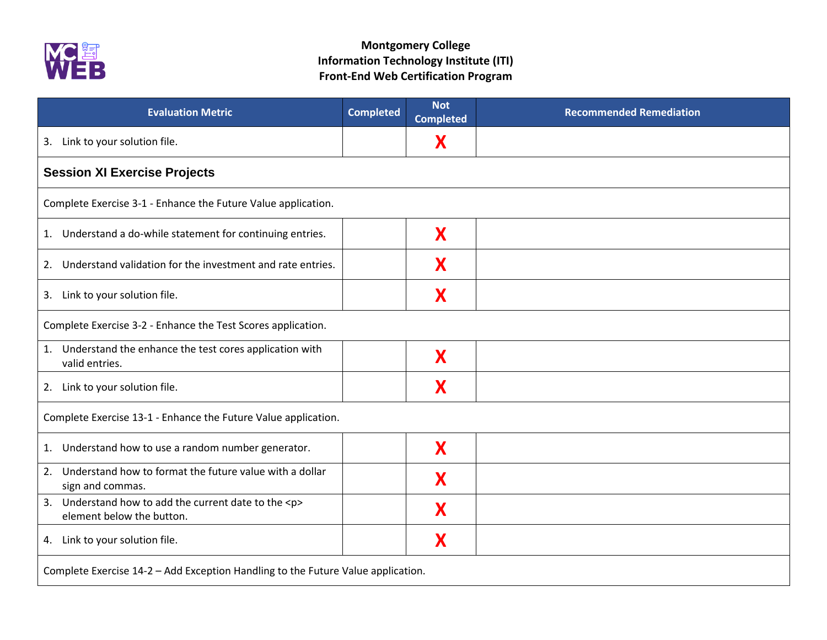

| <b>Evaluation Metric</b>                                                               | <b>Completed</b> | <b>Not</b><br><b>Completed</b> | <b>Recommended Remediation</b> |
|----------------------------------------------------------------------------------------|------------------|--------------------------------|--------------------------------|
| Link to your solution file.<br>3.                                                      |                  | X                              |                                |
| <b>Session XI Exercise Projects</b>                                                    |                  |                                |                                |
| Complete Exercise 3-1 - Enhance the Future Value application.                          |                  |                                |                                |
| 1. Understand a do-while statement for continuing entries.                             |                  | X                              |                                |
| Understand validation for the investment and rate entries.<br>2.                       |                  | X                              |                                |
| 3. Link to your solution file.                                                         |                  | X                              |                                |
| Complete Exercise 3-2 - Enhance the Test Scores application.                           |                  |                                |                                |
| 1. Understand the enhance the test cores application with<br>valid entries.            |                  | X                              |                                |
| 2. Link to your solution file.                                                         |                  | X                              |                                |
| Complete Exercise 13-1 - Enhance the Future Value application.                         |                  |                                |                                |
| Understand how to use a random number generator.<br>1.                                 |                  | X                              |                                |
| Understand how to format the future value with a dollar<br>2.<br>sign and commas.      |                  | X                              |                                |
| 3. Understand how to add the current date to the <p><br/>element below the button.</p> |                  | X                              |                                |
| 4. Link to your solution file.                                                         |                  | X                              |                                |
| Complete Exercise 14-2 - Add Exception Handling to the Future Value application.       |                  |                                |                                |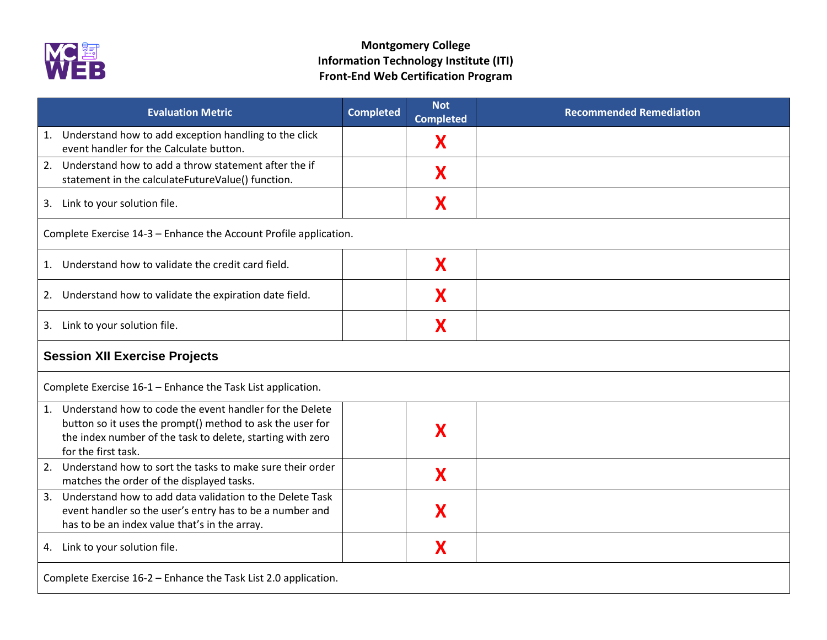

| <b>Evaluation Metric</b>                                                                                                                                                                                     | <b>Completed</b> | <b>Not</b><br><b>Completed</b> | <b>Recommended Remediation</b> |
|--------------------------------------------------------------------------------------------------------------------------------------------------------------------------------------------------------------|------------------|--------------------------------|--------------------------------|
| 1. Understand how to add exception handling to the click<br>event handler for the Calculate button.                                                                                                          |                  | X                              |                                |
| 2. Understand how to add a throw statement after the if<br>statement in the calculateFutureValue() function.                                                                                                 |                  | X                              |                                |
| 3. Link to your solution file.                                                                                                                                                                               |                  | X                              |                                |
| Complete Exercise 14-3 - Enhance the Account Profile application.                                                                                                                                            |                  |                                |                                |
| 1. Understand how to validate the credit card field.                                                                                                                                                         |                  | X                              |                                |
| 2. Understand how to validate the expiration date field.                                                                                                                                                     |                  | X                              |                                |
| 3. Link to your solution file.                                                                                                                                                                               |                  | X                              |                                |
| <b>Session XII Exercise Projects</b>                                                                                                                                                                         |                  |                                |                                |
| Complete Exercise 16-1 - Enhance the Task List application.                                                                                                                                                  |                  |                                |                                |
| 1. Understand how to code the event handler for the Delete<br>button so it uses the prompt() method to ask the user for<br>the index number of the task to delete, starting with zero<br>for the first task. |                  | X                              |                                |
| 2. Understand how to sort the tasks to make sure their order<br>matches the order of the displayed tasks.                                                                                                    |                  | X                              |                                |
| Understand how to add data validation to the Delete Task<br>3.<br>event handler so the user's entry has to be a number and<br>has to be an index value that's in the array.                                  |                  | X                              |                                |
| 4. Link to your solution file.                                                                                                                                                                               |                  | X                              |                                |
| Complete Exercise 16-2 - Enhance the Task List 2.0 application.                                                                                                                                              |                  |                                |                                |